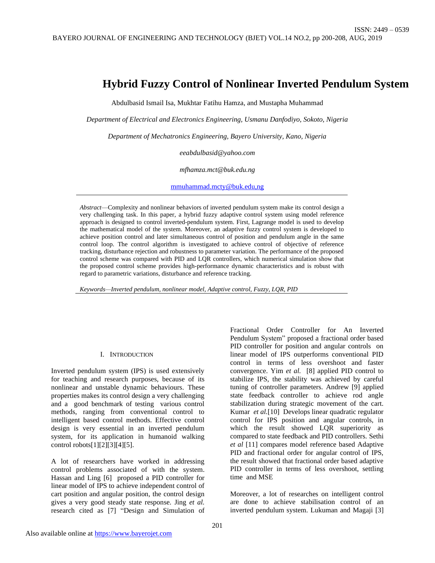# **Hybrid Fuzzy Control of Nonlinear Inverted Pendulum System**

Abdulbasid Ismail Isa, Mukhtar Fatihu Hamza, and Mustapha Muhammad

*Department of Electrical and Electronics Engineering, Usmanu Danfodiyo, Sokoto, Nigeria*

*Department of Mechatronics Engineering, Bayero University, Kano, Nigeria*

*eeabdulbasid@yahoo.com*

*mfhamza.mct@buk.edu.ng*

[mmuhammad.mcty@buk.edu,ng](mailto:mmuhammad.mcty@buk.edu,ng)

*Abstract*—Complexity and nonlinear behaviors of inverted pendulum system make its control design a very challenging task. In this paper, a hybrid fuzzy adaptive control system using model reference approach is designed to control inverted-pendulum system. First, Lagrange model is used to develop the mathematical model of the system. Moreover, an adaptive fuzzy control system is developed to achieve position control and later simultaneous control of position and pendulum angle in the same control loop. The control algorithm is investigated to achieve control of objective of reference tracking, disturbance rejection and robustness to parameter variation. The performance of the proposed control scheme was compared with PID and LQR controllers, which numerical simulation show that the proposed control scheme provides high-performance dynamic characteristics and is robust with regard to parametric variations, disturbance and reference tracking.

*Keywords—Inverted pendulum, nonlinear model, Adaptive control, Fuzzy, LQR, PID* 

#### I. INTRODUCTION

Inverted pendulum system (IPS) is used extensively for teaching and research purposes, because of its nonlinear and unstable dynamic behaviours. These properties makes its control design a very challenging and a good benchmark of testing various control methods, ranging from conventional control to intelligent based control methods. Effective control design is very essential in an inverted pendulum system, for its application in humanoid walking control robots[1][2][3][4][5].

A lot of researchers have worked in addressing control problems associated of with the system. Hassan and Ling [6] proposed a PID controller for linear model of IPS to achieve independent control of cart position and angular position, the control design gives a very good steady state response. Jing *et al.* research cited as [7] "Design and Simulation of Fractional Order Controller for An Inverted Pendulum System" proposed a fractional order based PID controller for position and angular controls on linear model of IPS outperforms conventional PID control in terms of less overshoot and faster convergence. Yim *et al.* [8] applied PID control to stabilize IPS, the stability was achieved by careful tuning of controller parameters. Andrew [9] applied state feedback controller to achieve rod angle stabilization during strategic movement of the cart. Kumar *et al.*[10] Develops linear quadratic regulator control for IPS position and angular controls, in which the result showed LQR superiority as compared to state feedback and PID controllers. Sethi *et al* [11] compares model reference based Adaptive PID and fractional order for angular control of IPS, the result showed that fractional order based adaptive PID controller in terms of less overshoot, settling time and MSE

Moreover, a lot of researches on intelligent control are done to achieve stabilisation control of an inverted pendulum system. Lukuman and Magaji [3]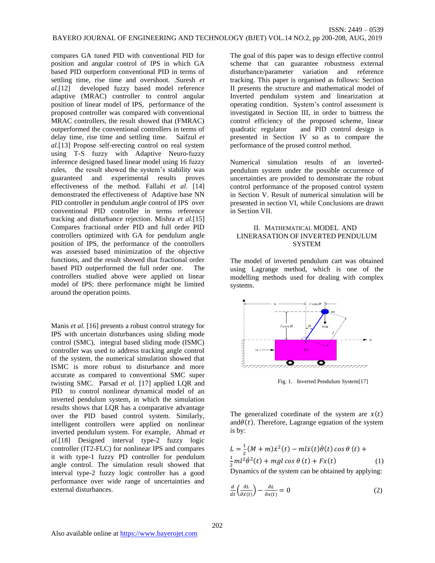compares GA tuned PID with conventional PID for position and angular control of IPS in which GA based PID outperform conventional PID in terms of settling time, rise time and overshoot*.* .Suresh *et al.*[12] developed fuzzy based model reference adaptive (MRAC) controller to control angular position of linear model of IPS, performance of the proposed controller was compared with conventional MRAC controllers, the result showed that (FMRAC) outperformed the conventional controllers in terms of delay time, rise time and settling time. Saifzul *et al.*[13] Propose self-erecting control on real system using T-S fuzzy with Adaptive Neuro-fuzzy inference designed based linear model using 16 fuzzy rules, the result showed the system's stability was guaranteed and experimental results proves effectiveness of the method. Fallahi *et al*. [14] demonstrated the effectiveness of Adaptive base NN PID controller in pendulum angle control of IPS over conventional PID controller in terms reference tracking and disturbance rejection. Mishra *et al.*[15] Compares fractional order PID and full order PID controllers optimized with GA for pendulum angle position of IPS, the performance of the controllers was assessed based minimization of the objective functions, and the result showed that fractional order based PID outperformed the full order one. The controllers studied above were applied on linear model of IPS; there performance might be limited around the operation points.

Manis *et al.* [16] presents a robust control strategy for IPS with uncertain disturbances using sliding mode control (SMC), integral based sliding mode (ISMC) controller was used to address tracking angle control of the system, the numerical simulation showed that ISMC is more robust to disturbance and more accurate as compared to conventional SMC super twisting SMC. Parsad *et al.* [17] applied LQR and PID to control nonlinear dynamical model of an inverted pendulum system, in which the simulation results shows that LQR has a comparative advantage over the PID based control system. Similarly, intelligent controllers were applied on nonlinear inverted pendulum system. For example, Ahmad *et al.*[18] Designed interval type-2 fuzzy logic controller (IT2-FLC) for nonlinear IPS and compares it with type-1 fuzzy PD controller for pendulum angle control. The simulation result showed that interval type-2 fuzzy logic controller has a good performance over wide range of uncertainties and external disturbances.

The goal of this paper was to design effective control scheme that can guarantee robustness external disturbance/parameter variation and reference tracking. This paper is organised as follows: Section II presents the structure and mathematical model of Inverted pendulum system and linearization at operating condition. System's control assessment is investigated in Section III, in order to buttress the control efficiency of the proposed scheme, linear<br>quadratic regulator and PID control design is and PID control design is presented in Section IV so as to compare the performance of the prosed control method.

Numerical simulation results of an invertedpendulum system under the possible occurrence of uncertainties are provided to demonstrate the robust control performance of the proposed control system in Section V. Result of numerical simulation will be presented in section VI, while Conclusions are drawn in Section VII.

# II. MATHEMATICAL MODEL AND LINERASATION OF INVERTED PENDULUM **SYSTEM**

The model of inverted pendulum cart was obtained using Lagrange method, which is one of the modelling methods used for dealing with complex systems.



Fig. 1. Inverted Pendulum System[17]

The generalized coordinate of the system are  $x(t)$ and $\theta(t)$ . Therefore, Lagrange equation of the system is by:

$$
L = \frac{1}{2}(M+m)\dot{x}^{2}(t) - m l \dot{x}(t)\dot{\theta}(t) \cos \theta (t) +
$$
  

$$
\frac{1}{2}ml^{2}\dot{\theta}^{2}(t) + mgl \cos \theta (t) + Fx(t)
$$
 (1)

Dynamics of the system can be obtained by applying:

$$
\frac{d}{dt}\left(\frac{\partial L}{\partial \dot{x}(t)}\right) - \frac{\partial L}{\partial x(t)} = 0\tag{2}
$$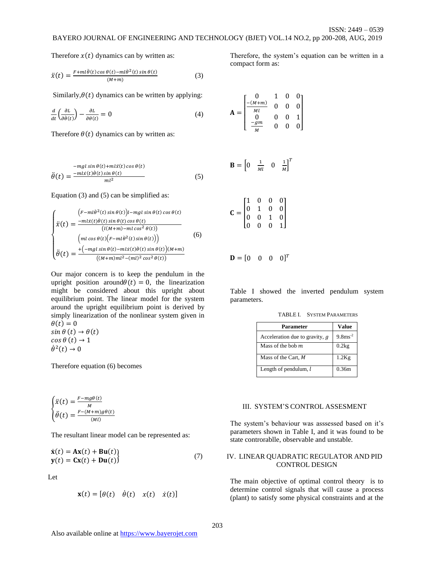Therefore  $x(t)$  dynamics can by written as:

$$
\ddot{x}(t) = \frac{F + ml\ddot{\theta}(t)\cos\theta(t) - ml\dot{\theta}^{2}(t)\sin\theta(t)}{(M+m)}
$$
(3)

Similarly, $\theta(t)$  dynamics can be written by applying:

$$
\frac{d}{dt}\left(\frac{\partial L}{\partial \dot{\theta}(t)}\right) - \frac{\partial L}{\partial \theta(t)} = 0\tag{4}
$$

Therefore  $\theta(t)$  dynamics can by written as:

$$
\ddot{\theta}(t) = \frac{-mgl \sin \theta(t) + m l \ddot{x}(t) \cos \theta(t)}{m l^2}
$$
(5)

Equation (3) and (5) can be simplified as:

$$
\begin{cases}\n\dot{F}-m\dot{\theta}^{2}(t)\sin\theta(t)\dot{\theta}^{2}(t)\cos\theta(t)\cos\theta(t) \\
\dot{x}(t) = \frac{-m\dot{x}(t)\dot{\theta}(t)\sin\theta(t)\cos\theta(t)}{(l(M+m)-m\cos^{2}\theta(t))} \\
\dot{m} \left(\cos\theta(t)\left(F-m\dot{\theta}^{2}(t)\sin\theta(t)\right)\right) \\
\dot{\theta}(t) = \frac{+(-m\dot{g}\sin\theta(t)-m\dot{x}(t)\dot{\theta}(t)\sin\theta(t))(M+m)}{((M+m)m^{2}-(m)^{2}\cos^{2}\theta(t))}\n\end{cases}
$$
\n(6)

Our major concern is to keep the pendulum in the upright position around  $\theta(t) = 0$ , the linearization might be considered about this upright about equilibrium point. The linear model for the system around the upright equilibrium point is derived by simply linearization of the nonlinear system given in  $\theta(t) = 0$  $\sin \theta(t) \rightarrow \theta(t)$  $cos \theta (t) \rightarrow 1$  $\dot{\theta}^2(t) \rightarrow 0$ 

Therefore equation (6) becomes

$$
\begin{cases} \ddot{x}(t) = \frac{F - mg\theta(t)}{M} \\ \ddot{\theta}(t) = \frac{F - (M + m)g\theta(t)}{(M)}
$$

The resultant linear model can be represented as:

$$
\dot{\mathbf{x}}(t) = \mathbf{A}\mathbf{x}(t) + \mathbf{B}\mathbf{u}(t) \n\mathbf{y}(t) = \mathbf{C}\mathbf{x}(t) + \mathbf{D}\mathbf{u}(t)
$$
\n(7)

Let

$$
\mathbf{x}(t) = [\theta(t) \quad \dot{\theta}(t) \quad x(t) \quad \dot{x}(t)]
$$

Therefore, the system's equation can be written in a compact form as:

$$
\mathbf{A} = \begin{bmatrix} 0 & 1 & 0 & 0 \\ \frac{-(M+m)}{Ml} & 0 & 0 & 0 \\ 0 & 0 & 0 & 1 \\ \frac{-gm}{M} & 0 & 0 & 0 \end{bmatrix}
$$

$$
\mathbf{B} = \begin{bmatrix} 0 & \frac{1}{Ml} & 0 & \frac{1}{M} \end{bmatrix}^T
$$

$$
\mathbf{C} = \begin{bmatrix} 1 & 0 & 0 & 0 \\ 0 & 1 & 0 & 0 \\ 0 & 0 & 1 & 0 \end{bmatrix}
$$

0 0 0 1

$$
\mathbf{D} = \begin{bmatrix} 0 & 0 & 0 & 0 \end{bmatrix}^T
$$

Table I showed the inverted pendulum system parameters.

TABLE I. SYSTEM PARAMETERS

| Parameter                      | <b>Value</b>         |
|--------------------------------|----------------------|
| Acceleration due to gravity, g | $9.8 \text{ms}^{-2}$ |
| Mass of the bob $m$            | 0.2kg                |
| Mass of the Cart, M            | $1.2$ Kg             |
| Length of pendulum, $l$        | 0.36m                |

#### III. SYSTEM'S CONTROL ASSESMENT

The system's behaviour was asssessed based on it's parameters shown in Table I, and it was found to be state controrablle, observable and unstable.

## IV. LINEAR QUADRATIC REGULATOR AND PID CONTROL DESIGN

The main objective of optimal control theory is to determine control signals that will cause a process (plant) to satisfy some physical constraints and at the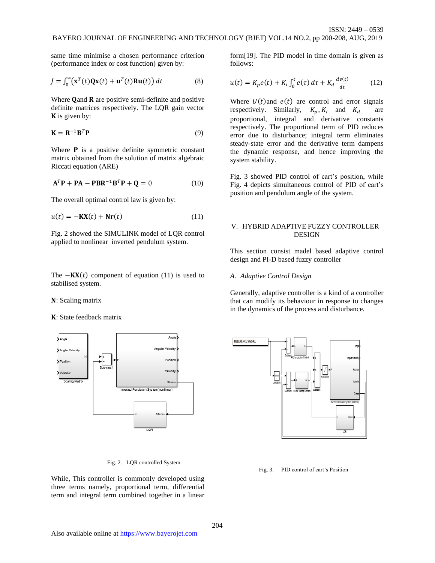same time minimise a chosen performance criterion (performance index or cost function) given by:

$$
J = \int_0^\infty (\mathbf{x}^T(t)\mathbf{Q}\mathbf{x}(t) + \mathbf{u}^T(t)\mathbf{R}\mathbf{u}(t)) dt
$$
 (8)

Where  $\mathbf Q$  and  $\mathbf R$  are positive semi-definite and positive definite matrices respectively. The LQR gain vector  $\bf{K}$  is given by:

$$
\mathbf{K} = \mathbf{R}^{-1} \mathbf{B}^T \mathbf{P} \tag{9}
$$

Where  $P$  is a positive definite symmetric constant matrix obtained from the solution of matrix algebraic Riccati equation (ARE)

$$
\mathbf{A}^T \mathbf{P} + \mathbf{P} \mathbf{A} - \mathbf{P} \mathbf{B} \mathbf{R}^{-1} \mathbf{B}^T \mathbf{P} + \mathbf{Q} = 0 \tag{10}
$$

The overall optimal control law is given by:

$$
u(t) = -\mathbf{K}\mathbf{X}(t) + \mathbf{N}\mathbf{r}(t) \tag{11}
$$

Fig. 2 showed the SIMULINK model of LQR control applied to nonlinear inverted pendulum system.

The  $-KX(t)$  component of equation (11) is used to stabilised system.

### N: Scaling matrix

: State feedback matrix



Fig. 2. LQR controlled System

While, This controller is commonly developed using three terms namely, proportional term, differential term and integral term combined together in a linear form[19]. The PID model in time domain is given as follows:

$$
u(t) = K_p e(t) + K_i \int_0^t e(\tau) d\tau + K_d \frac{de(t)}{dt}
$$
 (12)

Where  $U(t)$  and  $e(t)$  are control and error signals respectively. Similarly,  $K_p, K_i$  and  $K_d$  are proportional, integral and derivative constants respectively. The proportional term of PID reduces error due to disturbance; integral term eliminates steady-state error and the derivative term dampens the dynamic response, and hence improving the system stability.

Fig. 3 showed PID control of cart's position, while Fig. 4 depicts simultaneous control of PID of cart's position and pendulum angle of the system.

## V. HYBRID ADAPTIVE FUZZY CONTROLLER DESIGN

This section consist madel based adaptive control design and PI-D based fuzzy controller

#### *A. Adaptive Control Design*

Generally, adaptive controller is a kind of a controller that can modify its behaviour in response to changes in the dynamics of the process and disturbance.



Fig. 3. PID control of cart's Position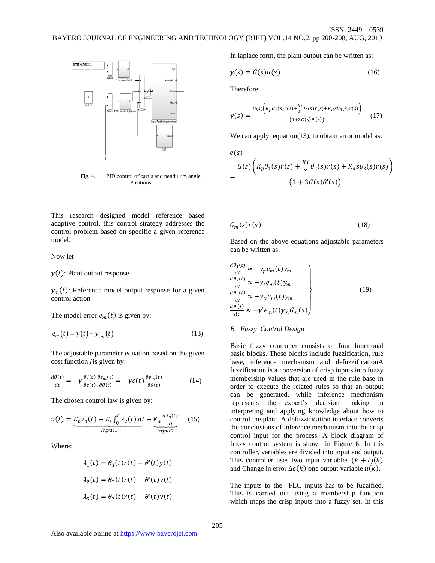

Fig. 4. PID control of cart's and pendulum angle Positions

In laplace form, the plant output can be written as:

$$
y(s) = G(s)u(s) \tag{16}
$$

Therefore:

$$
y(s) = \frac{G(s)\left(K_p\theta_1(s)r(s) + \frac{Ki}{s}\theta_2(s)r(s) + K_d s\theta_3(s)r(s)\right)}{(1+3G(s)\theta'(s))}
$$
(17)

We can apply equation(13), to obtain error model as:

$$
\begin{aligned} e(s) \\ &= \frac{G(s)\left(K_p\theta_1(s)r(s) + \frac{Ki}{s}\theta_2(s)r(s) + K_d s\theta_3(s)r(s)\right)}{\left(1 + 3G(s)\theta'(s)\right)} \end{aligned}
$$

 $G_m(s)r(s)$  (18)

This research designed model reference based adaptive control, this control strategy addresses the control problem based on specific a given reference model.

Now let

 $y(t)$ : Plant output response

 $y_m(t)$ : Reference model output response for a given control action

The model error  $e_m(t)$  is given by:

$$
e_m(t) = y(t) - y_m(t)
$$
\n(13)

The adjustable parameter equation based on the given cost function *l* is given by:

$$
\frac{d\theta(t)}{dt} = -\gamma \frac{\partial J(t)}{\partial e(t)} \frac{\partial e_m(t)}{\partial \theta(t)} = -\gamma e(t) \frac{\partial e_m(t)}{\partial \theta(t)}
$$
(14)

The chosen control law is given by:

$$
u(t) = \underbrace{K_p \lambda_1(t) + K_i \int_0^t \lambda_2(t) dt}_{Input1} + \underbrace{K_d \frac{d \lambda_3(t)}{dt}}_{input2}
$$
 (15)

Where:

$$
\lambda_1(t) = \theta_1(t)r(t) - \theta'(t)y(t)
$$

$$
\lambda_2(t) = \theta_2(t)r(t) - \theta'(t)y(t)
$$

$$
\lambda_3(t) = \theta_3(t)r(t) - \theta'(t)y(t)
$$

Based on the above equations adjustable parameters can be written as:

$$
\begin{aligned}\n\frac{d\theta_1(t)}{dt} &\approx -\gamma_p e_m(t) y_m \\
\frac{d\theta_2(t)}{dt} &\approx -\gamma_l e_m(t) y_m \\
\frac{d\theta_3(t)}{dt} &\approx -\gamma_p e_m(t) y_m \\
\frac{d\theta'(t)}{dt} &\approx -\gamma' e_m(t) y_m G_m(s)\n\end{aligned}
$$
\n(19)

## *B. Fuzzy Control Design*

Basic fuzzy controller consists of four functional basic blocks. These blocks include fuzzification, rule base, inference mechanism and defuzzificationA fuzzification is a conversion of crisp inputs into fuzzy membership values that are used in the rule base in order to execute the related rules so that an output can be generated, while inference mechanism represents the expert's decision making in interpreting and applying knowledge about how to control the plant. A defuzzification interface converts the conclusions of inference mechanism into the crisp control input for the process. A block diagram of fuzzy control system is shown in Figure 6. In this controller, variables are divided into input and output. This controller uses two input variables  $(P+I)(k)$ and Change in error  $\Delta e(k)$  one output variable  $u(k)$ .

The inputs to the FLC inputs has to be fuzzified. This is carried out using a membership function which maps the crisp inputs into a fuzzy set. In this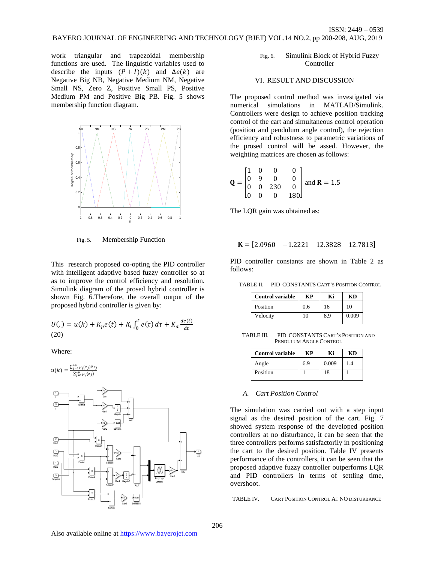work triangular and trapezoidal membership functions are used. The linguistic variables used to describe the inputs  $(P + I)(k)$  and  $\Delta e(k)$  are Negative Big NB, Negative Medium NM, Negative Small NS, Zero Z, Positive Small PS, Positive Medium PM and Positive Big PB. Fig. 5 shows membership function diagram.



Fig. 5. Membership Function

This research proposed co-opting the PID controller with intelligent adaptive based fuzzy controller so at as to improve the control efficiency and resolution. Simulink diagram of the prosed hybrid controller is shown Fig. 6.Therefore, the overall output of the proposed hybrid controller is given by:

$$
U(.) = u(k) + K_p e(t) + K_i \int_0^t e(\tau) d\tau + K_d \frac{de(t)}{dt}
$$
  
(20)

Where:

$$
u(k) = \frac{\sum_{j=1}^{49} \mu_j(z_j) \mathbb{Z} z_j}{\sum_{j=1}^{49} \mu_j(z_j)}
$$



Fig. 6. Simulink Block of Hybrid Fuzzy Controller

#### VI. RESULT AND DISCUSSION

The proposed control method was investigated via numerical simulations in MATLAB/Simulink. Controllers were design to achieve position tracking control of the cart and simultaneous control operation (position and pendulum angle control), the rejection efficiency and robustness to parametric variations of the prosed control will be assed. However, the weighting matrices are chosen as follows:

$$
\mathbf{Q} = \begin{bmatrix} 1 & 0 & 0 & 0 \\ 0 & 9 & 0 & 0 \\ 0 & 0 & 230 & 0 \\ 0 & 0 & 0 & 180 \end{bmatrix} \text{ and } \mathbf{R} = 1.5
$$

The LQR gain was obtained as:

$$
\mathbf{K} = [2.0960 \quad -1.2221 \quad 12.3828 \quad 12.7813]
$$

PID controller constants are shown in Table 2 as follows:

TABLE II. PID CONSTANTS CART'S POSITION CONTROL

| <b>Control variable</b> | KР  | Ki  | КD    |
|-------------------------|-----|-----|-------|
| Position                | 0.6 | 16  | 10    |
| Velocity                | 10  | 8.9 | 0.009 |

TABLE III. PID CONSTANTS CART'S POSITION AND PENDULUM ANGLE CONTROL

| <b>Control variable</b> | KР  | Ki    | КD  |
|-------------------------|-----|-------|-----|
| Angle                   | 6.9 | 0.009 | 1.4 |
| Position                |     | 18    |     |

## *A. Cart Position Control*

The simulation was carried out with a step input signal as the desired position of the cart. Fig. 7 showed system response of the developed position controllers at no disturbance, it can be seen that the three controllers performs satisfactorily in positioning the cart to the desired position. Table IV presents performance of the controllers, it can be seen that the proposed adaptive fuzzy controller outperforms LQR and PID controllers in terms of settling time, overshoot.

TABLE IV. CART POSITION CONTROL AT NO DISTURBANCE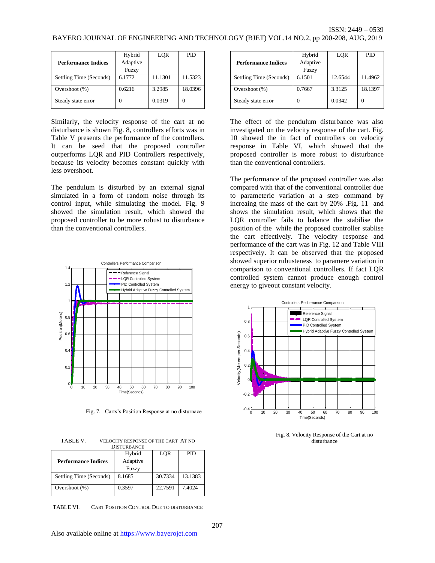|                            | Hybrid   | LOR     | PID     |
|----------------------------|----------|---------|---------|
| <b>Performance Indices</b> | Adaptive |         |         |
|                            | Fuzzy    |         |         |
| Settling Time (Seconds)    | 6.1772   | 11.1301 | 11.5323 |
| Overshoot (%)              | 0.6216   | 3.2985  | 18.0396 |
| Steady state error         |          | 0.0319  |         |

Similarly, the velocity response of the cart at no disturbance is shown Fig. 8, controllers efforts was in Table V presents the performance of the controllers. It can be seed that the proposed controller outperforms LQR and PID Controllers respectively, because its velocity becomes constant quickly with less overshoot.

The pendulum is disturbed by an external signal simulated in a form of random noise through its control input, while simulating the model. Fig. 9 showed the simulation result, which showed the proposed controller to be more robust to disturbance than the conventional controllers.



Fig. 7. Carts's Position Response at no disturnace

TABLE V. VELOCITY RESPONSE OF THE CART AT NO DISTURBANCE

|                            | Hybrid   | LQR     | PID.    |
|----------------------------|----------|---------|---------|
| <b>Performance Indices</b> | Adaptive |         |         |
|                            | Fuzzy    |         |         |
| Settling Time (Seconds)    | 8.1685   | 30.7334 | 13.1383 |
|                            |          |         |         |
| Overshoot $(\%)$           | 0.3597   | 22.7591 | 7.4024  |
|                            |          |         |         |

TABLE VI. CART POSITION CONTROL DUE TO DISTURBANCE

|                            | Hybrid   | LOR     | PID     |
|----------------------------|----------|---------|---------|
| <b>Performance Indices</b> | Adaptive |         |         |
|                            | Fuzzy    |         |         |
| Settling Time (Seconds)    | 6.1501   | 12.6544 | 11.4962 |
| Overshoot $(\%)$           | 0.7667   | 3.3125  | 18.1397 |
| Steady state error         |          | 0.0342  |         |

The effect of the pendulum disturbance was also investigated on the velocity response of the cart. Fig. 10 showed the in fact of controllers on velocity response in Table VI, which showed that the proposed controller is more robust to disturbance than the conventional controllers.

The performance of the proposed controller was also compared with that of the conventional controller due to parameteric variation at a step command by increaing the mass of the cart by 20% .Fig. 11 and shows the simulation result, which shows that the LQR controller fails to balance the stabilise the position of the while the proposed controller stablise the cart effectively. The velocity response and performance of the cart was in Fig. 12 and Table VIII respectively. It can be observed that the proposed showed superior rubusteness to paramere variation in comparison to conventional controllers. If fact LQR controlled system cannot produce enough control energy to giveout constant velocity.



Fig. 8. Velocity Response of the Cart at no disturbance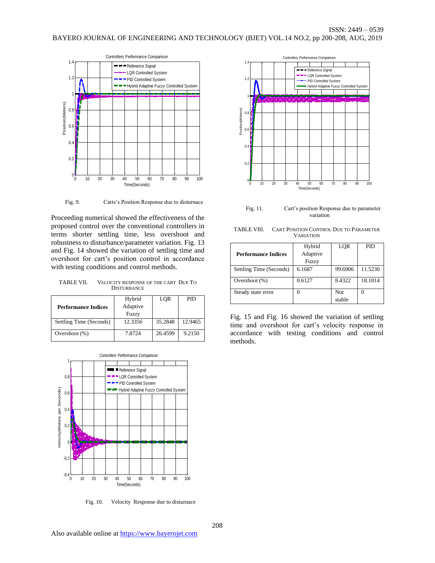

Fig. 9. Carts's Position Response due to disturnace

Proceeding numerical showed the effectiveness of the proposed control over the conventional controllers in terms shorter settling time, less overshoot and robustness to disturbance/parameter variation. Fig. 13 and Fig. 14 showed the variation of settling time and overshoot for cart's position control in accordance with testing conditions and control methods.

TABLE VII. VELOCITY RESPONSE OF THE CART DUE TO **DISTURBANCE** 

|                            | Hybrid   | LQR     | PID     |
|----------------------------|----------|---------|---------|
| <b>Performance Indices</b> | Adaptive |         |         |
|                            | Fuzzy    |         |         |
| Settling Time (Seconds)    | 12.3356  | 35.2848 | 12.9465 |
|                            |          |         |         |
| Overshoot $(\%)$           | 7.8724   | 26.4599 | 9.2150  |
|                            |          |         |         |



Fig. 10. Velocity Response due to disturnace



Fig. 11. Cart's position Response due to parameter variation

TABLE VIII. CART POSITION CONTROL DUE TO PARAMETER VARIATION

|                            | Hybrid   | LOR        | PID     |
|----------------------------|----------|------------|---------|
| <b>Performance Indices</b> | Adaptive |            |         |
|                            | Fuzzy    |            |         |
| Settling Time (Seconds)    | 6.1687   | 99.6906    | 11.5230 |
| Overshoot $(\%)$           | 0.6127   | 8.4322     | 18.1814 |
| Steady state error         |          | <b>Not</b> |         |
|                            |          | stable     |         |

Fig. 15 and Fig. 16 showed the variation of settling time and overshoot for cart's velocity response in accordance with testing conditions and control methods.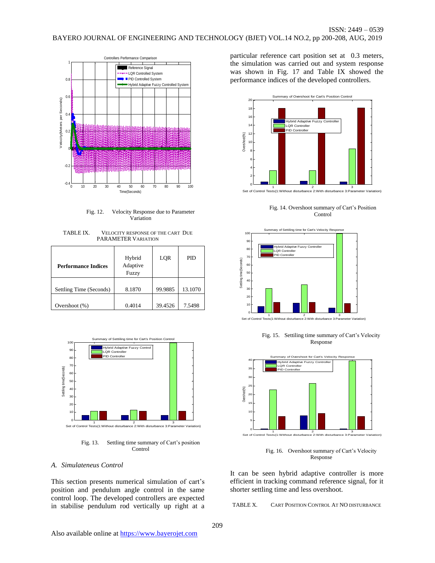![](_page_8_Figure_1.jpeg)

Fig. 12. Velocity Response due to Parameter Variation

TABLE IX. VELOCITY RESPONSE OF THE CART DUE PARAMETER VARIATION

| <b>Performance Indices</b> | Hybrid<br>Adaptive<br>Fuzzy | LQR     | PID     |
|----------------------------|-----------------------------|---------|---------|
| Settling Time (Seconds)    | 8.1870                      | 99.9885 | 13.1070 |
| Overshoot $(\%)$           | 0.4014                      | 39.4526 | 7.5498  |

![](_page_8_Figure_5.jpeg)

Fig. 13. Settling time summary of Cart's position Control

# *A. Simulateneus Control*

This section presents numerical simulation of cart's position and pendulum angle control in the same control loop. The developed controllers are expected in stabilise pendulum rod vertically up right at a

particular reference cart position set at 0.3 meters, the simulation was carried out and system response was shown in Fig. 17 and Table IX showed the performance indices of the developed controllers.

![](_page_8_Figure_10.jpeg)

Fig. 14. Overshoot summary of Cart's Position Control

![](_page_8_Figure_13.jpeg)

Fig. 15. Settiling time summary of Cart's Velocity Response

![](_page_8_Figure_15.jpeg)

Fig. 16. Overshoot summary of Cart's Velocity Response

It can be seen hybrid adaptive controller is more efficient in tracking command reference signal, for it shorter settling time and less overshoot.

TABLE X. CART POSITION CONTROL AT NO DISTURBANCE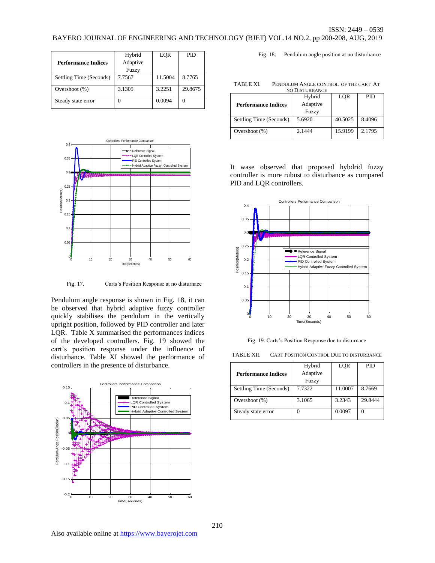|                            | Hybrid   | LOR     | PID     |
|----------------------------|----------|---------|---------|
| <b>Performance Indices</b> | Adaptive |         |         |
|                            | Fuzzy    |         |         |
| Settling Time (Seconds)    | 7.7567   | 11.5004 | 8.7765  |
| Overshoot (%)              | 3.1305   | 3.2251  | 29.8675 |
| Steady state error         |          | 0.0094  |         |

![](_page_9_Figure_3.jpeg)

Fig. 17. Carts's Position Response at no disturnace

Pendulum angle response is shown in Fig. 18, it can be observed that hybrid adaptive fuzzy controller quickly stabilises the pendulum in the vertically upright position, followed by PID controller and later LQR. Table X summarised the performances indices of the developed controllers. Fig. 19 showed the cart's position response under the influence of disturbance. Table XI showed the performance of controllers in the presence of disturbance.

![](_page_9_Figure_6.jpeg)

Fig. 18. Pendulum angle position at no disturbance

| NO DISTURBANCE             |          |         |        |  |
|----------------------------|----------|---------|--------|--|
|                            | Hybrid   | LQR     | PID.   |  |
| <b>Performance Indices</b> | Adaptive |         |        |  |
|                            | Fuzzy    |         |        |  |
| Settling Time (Seconds)    | 5.6920   | 40.5025 | 8.4096 |  |
| Overshoot $(\%)$           | 2.1444   | 15.9199 | 2.1795 |  |
|                            |          |         |        |  |

TABLE XI. PENDULUM ANGLE CONTROL OF THE CART AT

It wase observed that proposed hybdrid fuzzy controller is more rubust to disturbance as compared PID and LQR controllers.

![](_page_9_Figure_10.jpeg)

Fig. 19. Carts's Position Response due to disturnace

| TABLE XII. | <b>CART POSITION CONTROL DUE TO DISTURBANCE</b> |
|------------|-------------------------------------------------|
|------------|-------------------------------------------------|

|                            | Hybrid   | LQR     | PID     |
|----------------------------|----------|---------|---------|
| <b>Performance Indices</b> | Adaptive |         |         |
|                            | Fuzzy    |         |         |
| Settling Time (Seconds)    | 7.7322   | 11.0007 | 8.7669  |
| Overshoot (%)              | 3.1065   | 3.2343  | 29.8444 |
| Steady state error         |          | 0.0097  |         |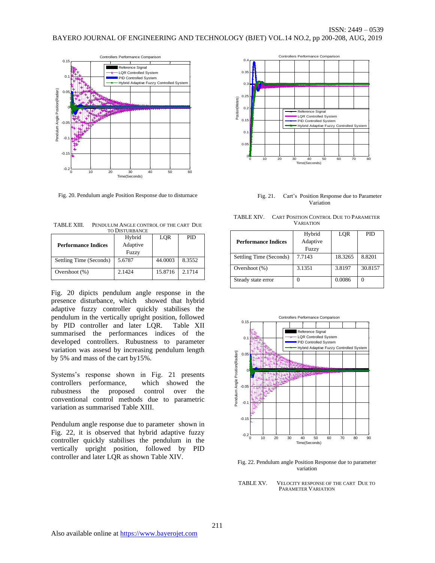![](_page_10_Figure_2.jpeg)

Fig. 20. Pendulum angle Position Response due to disturnace

TABLE XIII. PENDULUM ANGLE CONTROL OF THE CART DUE TO DISTURBANCE

|                            | Hybrid   | LOR     | PID    |
|----------------------------|----------|---------|--------|
| <b>Performance Indices</b> | Adaptive |         |        |
|                            | Fuzzy    |         |        |
| Settling Time (Seconds)    | 5.6787   | 44.0003 | 8.3552 |
|                            |          |         |        |
| Overshoot $(\%)$           | 2.1424   | 15.8716 | 2.1714 |
|                            |          |         |        |

Fig. 20 dipicts pendulum angle response in the presence disturbance, which showed that hybrid adaptive fuzzy controller quickly stabilises the pendulum in the vertically upright position, followed by PID controller and later LQR. Table XII summarised the performances indices of the developed controllers. Rubustness to parameter variation was assesd by increasing pendulum length by 5% and mass of the cart by15%.

Systems's response shown in Fig. 21 presents controllers performance, which showed the rubustness the proposed control over the conventional control methods due to parametric variation as summarised Table XIII.

Pendulum angle response due to parameter shown in Fig. 22, it is observed that hybrid adaptive fuzzy controller quickly stabilises the pendulum in the vertically upright position, followed by PID controller and later LQR as shown Table XIV.

![](_page_10_Figure_9.jpeg)

Fig. 21. Cart's Position Response due to Parameter Variation

| TABLE XIV.       | <b>CART POSITION CONTROL DUE TO PARAMETER</b> |
|------------------|-----------------------------------------------|
| <b>VARIATION</b> |                                               |

|                         | Hybrid   | LOR     | PID     |
|-------------------------|----------|---------|---------|
| Performance Indices     | Adaptive |         |         |
|                         | Fuzzy    |         |         |
| Settling Time (Seconds) | 7.7143   | 18.3265 | 8.8201  |
| Overshoot $(\%)$        | 3.1351   | 3.8197  | 30.8157 |
| Steady state error      |          | 0.0086  | 0       |

![](_page_10_Figure_13.jpeg)

Fig. 22. Pendulum angle Position Response due to parameter variation

TABLE XV. VELOCITY RESPONSE OF THE CART DUE TO PARAMETER VARIATION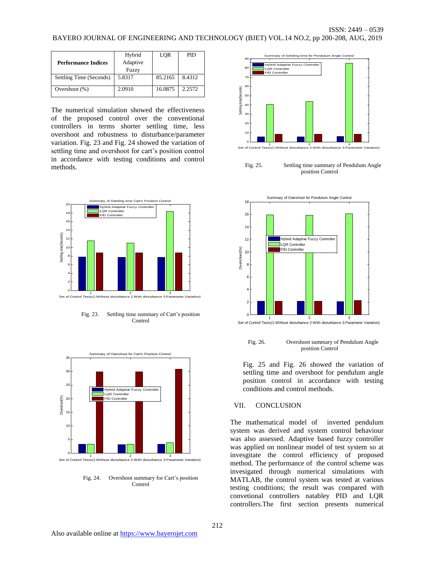|                            | Hybrid   | LQR     | PID.   |
|----------------------------|----------|---------|--------|
| <b>Performance Indices</b> | Adaptive |         |        |
|                            | Fuzzy    |         |        |
| Settling Time (Seconds)    | 5.8317   | 85.2165 | 8.4312 |
| Overshoot $(\%)$           | 2.0910   | 16.0875 | 2.2572 |
|                            |          |         |        |

The numerical simulation showed the effectiveness of the proposed control over the conventional controllers in terms shorter settling time, less overshoot and robustness to disturbance/parameter variation. Fig. 23 and Fig. 24 showed the variation of settling time and overshoot for cart's position control in accordance with testing conditions and control methods.

![](_page_11_Figure_3.jpeg)

Fig. 23. Settling time summary of Cart's position Control

![](_page_11_Figure_5.jpeg)

Fig. 24. Overshoot summary for Cart's position Control

![](_page_11_Figure_7.jpeg)

Fig. 25. Settling time summary of Pendulum Angle position Control

![](_page_11_Figure_9.jpeg)

Fig. 26. Overshoot summary of Pendulum Angle position Control

Fig. 25 and Fig. 26 showed the variation of settling time and overshoot for pendulum angle position control in accordance with testing conditions and control methods.

## VII. CONCLUSION

The mathematical model of inverted pendulum system was derived and system control behaviour was also assessed. Adaptive based fuzzy controller was applied on nonlinear model of test system so at invesgitate the control efficiency of proposed method. The performance of the control scheme was invesigated through numerical simulations with MATLAB, the control system was tested at various testing conditions; the result was compared with convetional controllers natabley PID and LQR controllers.The first section presents numerical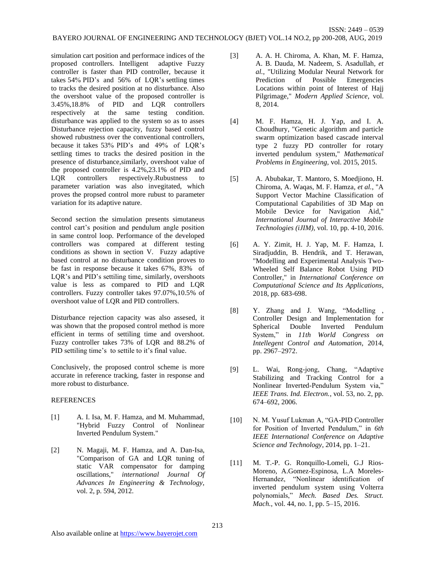simulation cart position and performace indices of the proposed controllers. Intelligent adaptive Fuzzy controller is faster than PID controller, because it

takes 54% PID's and 56% of LQR's settling times to tracks the desired position at no disturbance. Also the overshoot value of the proposed controller is 3.45%,18.8% of PID and LQR controllers respectively at the same testing condition. disturbance was applied to the system so as to asses Disturbance rejection capacity, fuzzy based control showed rubustness over the conventional controllers, because it takes 53% PID's and 49% of LQR's settling times to tracks the desired position in the presence of disturbance,similarly, overshoot value of the proposed controller is 4.2%,23.1% of PID and LQR controllers respectively.Rubustness to parameter variation was also invegitated, which proves the propsed control more rubust to parameter variation for its adaptive nature.

Second section the simulation presents simutaneus control cart's position and pendulum angle position in same control loop. Performance of the developed controllers was compared at different testing conditions as shown in section V. Fuzzy adaptive based control at no disturbance condition proves to be fast in response because it takes 67%, 83% of LQR's and PID's settiling time, similarly, overshoots value is less as compared to PID and LQR controllers. Fuzzy controller takes 97.07%,10.5% of overshoot value of LQR and PID controllers.

Disturbance rejection capacity was also assesed, it was shown that the proposed control method is more efficient in terms of settiling time and overshoot. Fuzzy controller takes 73% of LQR and 88.2% of PID settiling time's to settile to it's final value.

Conclusively, the proposed control scheme is more accurate in reference tracking, faster in response and more robust to disturbance.

# **REFERENCES**

- [1] A. I. Isa, M. F. Hamza, and M. Muhammad, "Hybrid Fuzzy Control of Nonlinear Inverted Pendulum System."
- [2] N. Magaji, M. F. Hamza, and A. Dan-Isa, "Comparison of GA and LQR tuning of static VAR compensator for damping oscillations," *international Journal Of Advances In Engineering & Technology,*  vol. 2, p. 594, 2012.

[3] A. A. H. Chiroma, A. Khan, M. F. Hamza, A. B. Dauda, M. Nadeem, S. Asadullah*, et al.*, "Utilizing Modular Neural Network for Prediction of Possible Emergencies Locations within point of Interest of Hajj Pilgrimage," *Modern Applied Science,* vol. 8, 2014.

ISSN: 2449 – 0539

- [4] M. F. Hamza, H. J. Yap, and I. A. Choudhury, "Genetic algorithm and particle swarm optimization based cascade interval type 2 fuzzy PD controller for rotary inverted pendulum system," *Mathematical Problems in Engineering,* vol. 2015, 2015.
- [5] A. Abubakar, T. Mantoro, S. Moedjiono, H. Chiroma, A. Waqas, M. F. Hamza*, et al.*, "A Support Vector Machine Classification of Computational Capabilities of 3D Map on Mobile Device for Navigation Aid," *International Journal of Interactive Mobile Technologies (iJIM),* vol. 10, pp. 4-10, 2016.
- [6] A. Y. Zimit, H. J. Yap, M. F. Hamza, I. Siradjuddin, B. Hendrik, and T. Herawan, "Modelling and Experimental Analysis Two-Wheeled Self Balance Robot Using PID Controller," in *International Conference on Computational Science and Its Applications*, 2018, pp. 683-698.
- [8] Y. Zhang and J. Wang, "Modelling , Controller Design and Implementation for Spherical Double Inverted Pendulum System," in *11th World Congress on Intellegent Control and Automation*, 2014, pp. 2967–2972.
- [9] L. Wai, Rong-jong, Chang, "Adaptive Stabilizing and Tracking Control for a Nonlinear Inverted-Pendulum System via," *IEEE Trans. Ind. Electron.*, vol. 53, no. 2, pp. 674–692, 2006.
- [10] N. M. Yusuf Lukman A, "GA-PID Controller for Position of Inverted Pendulum," in *6th IEEE International Conference on Adaptive Science and Technology*, 2014, pp. 1–21.
- [11] M. T.-P. G. Ronquillo-Lomeli, G.J Rios-Moreno, A.Gomez-Espinosa, L.A Moreles-Hernandez, "Nonlinear identification of inverted pendulum system using Volterra polynomials," *Mech. Based Des. Struct. Mach.*, vol. 44, no. 1, pp. 5–15, 2016.